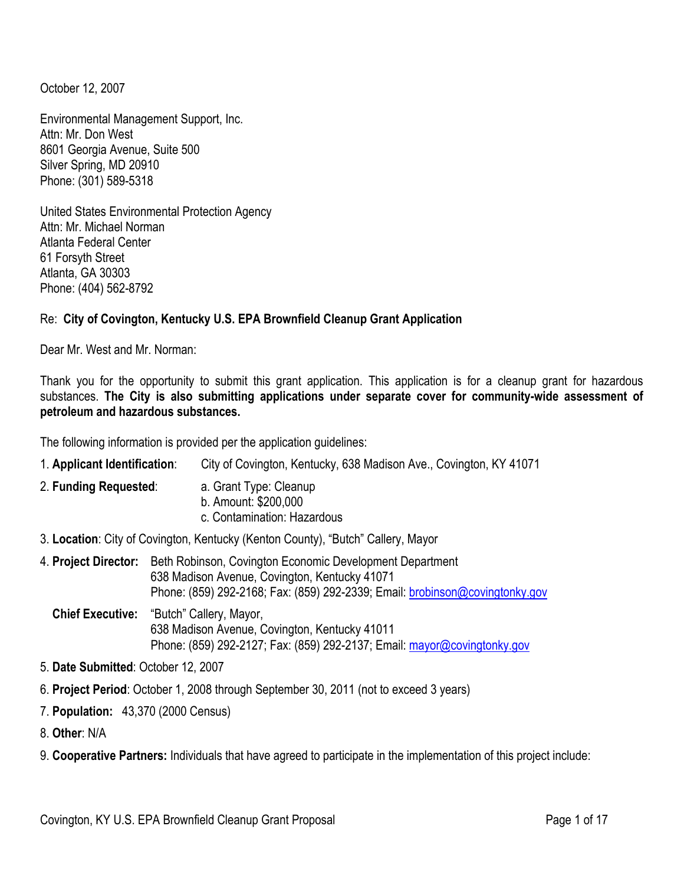October 12, 2007

Environmental Management Support, Inc. Attn: Mr. Don West 8601 Georgia Avenue, Suite 500 Silver Spring, MD 20910 Phone: (301) 589-5318

United States Environmental Protection Agency Attn: Mr. Michael Norman Atlanta Federal Center 61 Forsyth Street Atlanta, GA 30303 Phone: (404) 562-8792

### Re: **City of Covington, Kentucky U.S. EPA Brownfield Cleanup Grant Application**

Dear Mr. West and Mr. Norman:

Thank you for the opportunity to submit this grant application. This application is for a cleanup grant for hazardous substances. **The City is also submitting applications under separate cover for community-wide assessment of petroleum and hazardous substances.** 

The following information is provided per the application guidelines:

| 1. Applicant Identification:                                                     | City of Covington, Kentucky, 638 Madison Ave., Covington, KY 41071                                                                                                                        |  |  |  |  |  |
|----------------------------------------------------------------------------------|-------------------------------------------------------------------------------------------------------------------------------------------------------------------------------------------|--|--|--|--|--|
| 2. Funding Requested:                                                            | a. Grant Type: Cleanup<br>b. Amount: \$200,000<br>c. Contamination: Hazardous                                                                                                             |  |  |  |  |  |
| 3. Location: City of Covington, Kentucky (Kenton County), "Butch" Callery, Mayor |                                                                                                                                                                                           |  |  |  |  |  |
| 4. Project Director:                                                             | Beth Robinson, Covington Economic Development Department<br>638 Madison Avenue, Covington, Kentucky 41071<br>Phone: (859) 292-2168; Fax: (859) 292-2339; Email: brobinson@covingtonky.gov |  |  |  |  |  |
| <b>Chief Executive:</b>                                                          | "Butch" Callery, Mayor,<br>638 Madison Avenue, Covington, Kentucky 41011<br>Phone: (859) 292-2127; Fax: (859) 292-2137; Email: mayor@covingtonky.gov                                      |  |  |  |  |  |
|                                                                                  |                                                                                                                                                                                           |  |  |  |  |  |

- 5. **Date Submitted**: October 12, 2007
- 6. **Project Period**: October 1, 2008 through September 30, 2011 (not to exceed 3 years)
- 7. **Population:** 43,370 (2000 Census)
- 8. **Other**: N/A
- 9. **Cooperative Partners:** Individuals that have agreed to participate in the implementation of this project include: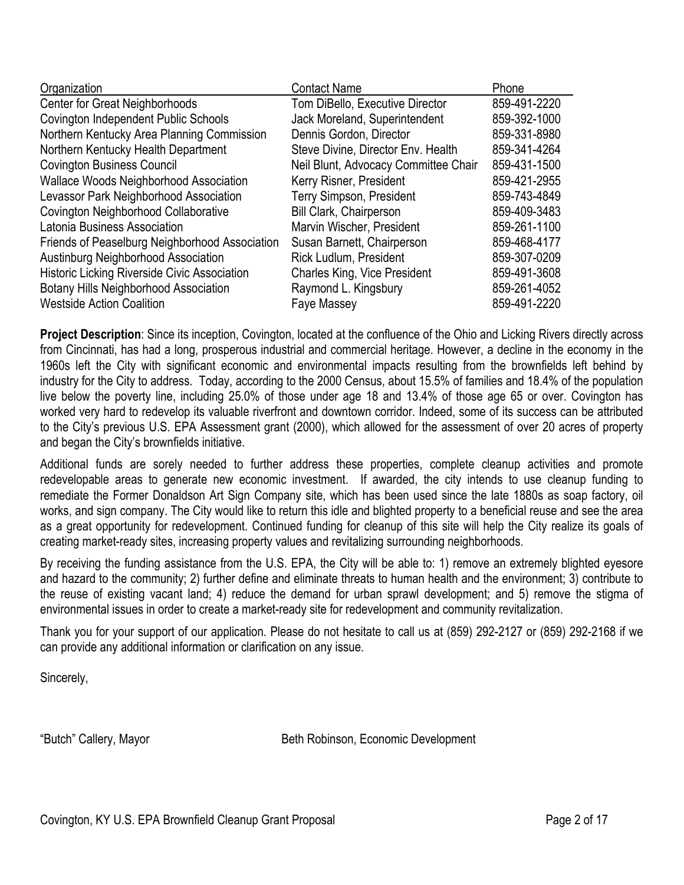| <b>Contact Name</b>                  | Phone        |
|--------------------------------------|--------------|
| Tom DiBello, Executive Director      | 859-491-2220 |
| Jack Moreland, Superintendent        | 859-392-1000 |
| Dennis Gordon, Director              | 859-331-8980 |
| Steve Divine, Director Env. Health   | 859-341-4264 |
| Neil Blunt, Advocacy Committee Chair | 859-431-1500 |
| Kerry Risner, President              | 859-421-2955 |
| <b>Terry Simpson, President</b>      | 859-743-4849 |
| <b>Bill Clark, Chairperson</b>       | 859-409-3483 |
| Marvin Wischer, President            | 859-261-1100 |
| Susan Barnett, Chairperson           | 859-468-4177 |
| Rick Ludlum, President               | 859-307-0209 |
| <b>Charles King, Vice President</b>  | 859-491-3608 |
| Raymond L. Kingsbury                 | 859-261-4052 |
| Faye Massey                          | 859-491-2220 |
|                                      |              |

**Project Description**: Since its inception, Covington, located at the confluence of the Ohio and Licking Rivers directly across from Cincinnati, has had a long, prosperous industrial and commercial heritage. However, a decline in the economy in the 1960s left the City with significant economic and environmental impacts resulting from the brownfields left behind by industry for the City to address. Today, according to the 2000 Census, about 15.5% of families and 18.4% of the population live below the poverty line, including 25.0% of those under age 18 and 13.4% of those age 65 or over. Covington has worked very hard to redevelop its valuable riverfront and downtown corridor. Indeed, some of its success can be attributed to the City's previous U.S. EPA Assessment grant (2000), which allowed for the assessment of over 20 acres of property and began the City's brownfields initiative.

Additional funds are sorely needed to further address these properties, complete cleanup activities and promote redevelopable areas to generate new economic investment. If awarded, the city intends to use cleanup funding to remediate the Former Donaldson Art Sign Company site, which has been used since the late 1880s as soap factory, oil works, and sign company. The City would like to return this idle and blighted property to a beneficial reuse and see the area as a great opportunity for redevelopment. Continued funding for cleanup of this site will help the City realize its goals of creating market-ready sites, increasing property values and revitalizing surrounding neighborhoods.

By receiving the funding assistance from the U.S. EPA, the City will be able to: 1) remove an extremely blighted eyesore and hazard to the community; 2) further define and eliminate threats to human health and the environment; 3) contribute to the reuse of existing vacant land; 4) reduce the demand for urban sprawl development; and 5) remove the stigma of environmental issues in order to create a market-ready site for redevelopment and community revitalization.

Thank you for your support of our application. Please do not hesitate to call us at (859) 292-2127 or (859) 292-2168 if we can provide any additional information or clarification on any issue.

Sincerely,

"Butch" Callery, Mayor **Beth Robinson, Economic Development**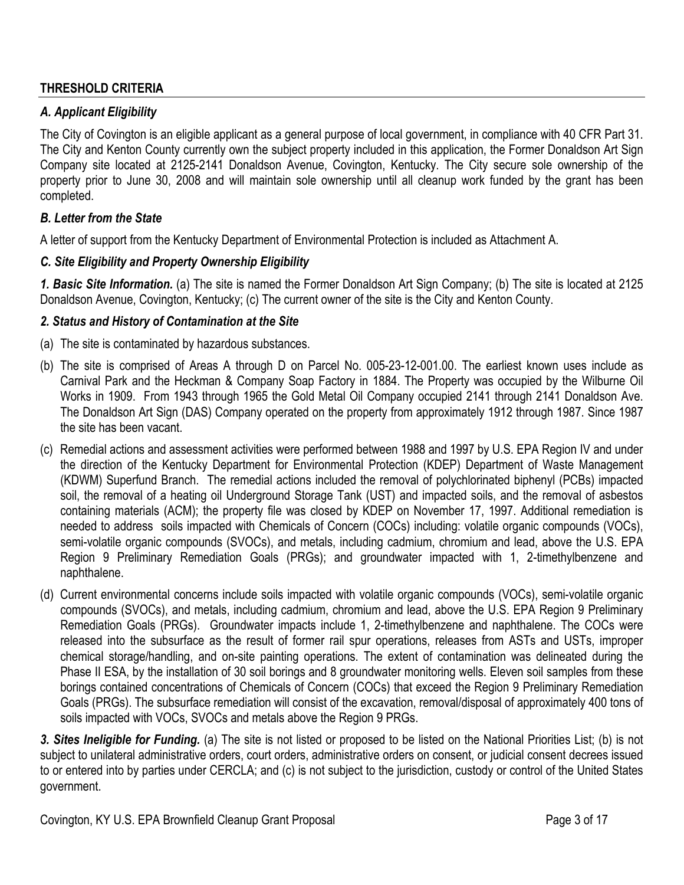#### **THRESHOLD CRITERIA**

#### *A. Applicant Eligibility*

The City of Covington is an eligible applicant as a general purpose of local government, in compliance with 40 CFR Part 31. The City and Kenton County currently own the subject property included in this application, the Former Donaldson Art Sign Company site located at 2125-2141 Donaldson Avenue, Covington, Kentucky. The City secure sole ownership of the property prior to June 30, 2008 and will maintain sole ownership until all cleanup work funded by the grant has been completed.

#### *B. Letter from the State*

A letter of support from the Kentucky Department of Environmental Protection is included as Attachment A.

#### *C. Site Eligibility and Property Ownership Eligibility*

*1. Basic Site Information.* (a) The site is named the Former Donaldson Art Sign Company; (b) The site is located at 2125 Donaldson Avenue, Covington, Kentucky; (c) The current owner of the site is the City and Kenton County.

#### *2. Status and History of Contamination at the Site*

- (a) The site is contaminated by hazardous substances.
- (b) The site is comprised of Areas A through D on Parcel No. 005-23-12-001.00. The earliest known uses include as Carnival Park and the Heckman & Company Soap Factory in 1884. The Property was occupied by the Wilburne Oil Works in 1909. From 1943 through 1965 the Gold Metal Oil Company occupied 2141 through 2141 Donaldson Ave. The Donaldson Art Sign (DAS) Company operated on the property from approximately 1912 through 1987. Since 1987 the site has been vacant.
- (c) Remedial actions and assessment activities were performed between 1988 and 1997 by U.S. EPA Region IV and under the direction of the Kentucky Department for Environmental Protection (KDEP) Department of Waste Management (KDWM) Superfund Branch. The remedial actions included the removal of polychlorinated biphenyl (PCBs) impacted soil, the removal of a heating oil Underground Storage Tank (UST) and impacted soils, and the removal of asbestos containing materials (ACM); the property file was closed by KDEP on November 17, 1997. Additional remediation is needed to address soils impacted with Chemicals of Concern (COCs) including: volatile organic compounds (VOCs), semi-volatile organic compounds (SVOCs), and metals, including cadmium, chromium and lead, above the U.S. EPA Region 9 Preliminary Remediation Goals (PRGs); and groundwater impacted with 1, 2-timethylbenzene and naphthalene.
- (d) Current environmental concerns include soils impacted with volatile organic compounds (VOCs), semi-volatile organic compounds (SVOCs), and metals, including cadmium, chromium and lead, above the U.S. EPA Region 9 Preliminary Remediation Goals (PRGs). Groundwater impacts include 1, 2-timethylbenzene and naphthalene. The COCs were released into the subsurface as the result of former rail spur operations, releases from ASTs and USTs, improper chemical storage/handling, and on-site painting operations. The extent of contamination was delineated during the Phase II ESA, by the installation of 30 soil borings and 8 groundwater monitoring wells. Eleven soil samples from these borings contained concentrations of Chemicals of Concern (COCs) that exceed the Region 9 Preliminary Remediation Goals (PRGs). The subsurface remediation will consist of the excavation, removal/disposal of approximately 400 tons of soils impacted with VOCs, SVOCs and metals above the Region 9 PRGs.

*3. Sites Ineligible for Funding.* (a) The site is not listed or proposed to be listed on the National Priorities List; (b) is not subject to unilateral administrative orders, court orders, administrative orders on consent, or judicial consent decrees issued to or entered into by parties under CERCLA; and (c) is not subject to the jurisdiction, custody or control of the United States government.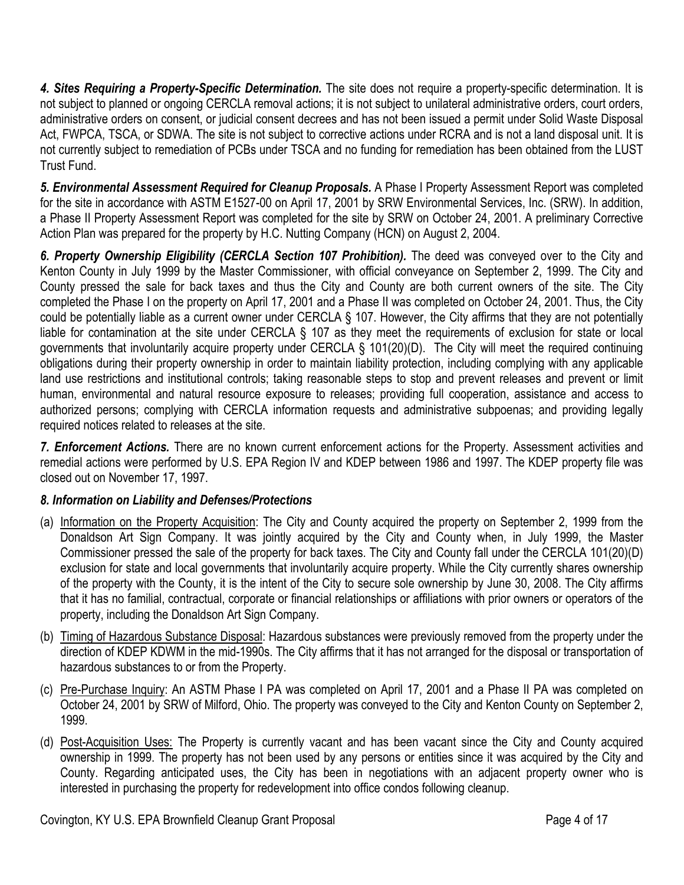*4. Sites Requiring a Property-Specific Determination.* The site does not require a property-specific determination. It is not subject to planned or ongoing CERCLA removal actions; it is not subject to unilateral administrative orders, court orders, administrative orders on consent, or judicial consent decrees and has not been issued a permit under Solid Waste Disposal Act, FWPCA, TSCA, or SDWA. The site is not subject to corrective actions under RCRA and is not a land disposal unit. It is not currently subject to remediation of PCBs under TSCA and no funding for remediation has been obtained from the LUST Trust Fund.

*5. Environmental Assessment Required for Cleanup Proposals.* A Phase I Property Assessment Report was completed for the site in accordance with ASTM E1527-00 on April 17, 2001 by SRW Environmental Services, Inc. (SRW). In addition, a Phase II Property Assessment Report was completed for the site by SRW on October 24, 2001. A preliminary Corrective Action Plan was prepared for the property by H.C. Nutting Company (HCN) on August 2, 2004.

6. Property Ownership Eligibility (CERCLA Section 107 Prohibition). The deed was conveyed over to the City and Kenton County in July 1999 by the Master Commissioner, with official conveyance on September 2, 1999. The City and County pressed the sale for back taxes and thus the City and County are both current owners of the site. The City completed the Phase I on the property on April 17, 2001 and a Phase II was completed on October 24, 2001. Thus, the City could be potentially liable as a current owner under CERCLA § 107. However, the City affirms that they are not potentially liable for contamination at the site under CERCLA § 107 as they meet the requirements of exclusion for state or local governments that involuntarily acquire property under CERCLA § 101(20)(D). The City will meet the required continuing obligations during their property ownership in order to maintain liability protection, including complying with any applicable land use restrictions and institutional controls; taking reasonable steps to stop and prevent releases and prevent or limit human, environmental and natural resource exposure to releases; providing full cooperation, assistance and access to authorized persons; complying with CERCLA information requests and administrative subpoenas; and providing legally required notices related to releases at the site.

*7. Enforcement Actions.* There are no known current enforcement actions for the Property. Assessment activities and remedial actions were performed by U.S. EPA Region IV and KDEP between 1986 and 1997. The KDEP property file was closed out on November 17, 1997.

# *8. Information on Liability and Defenses/Protections*

- (a) Information on the Property Acquisition: The City and County acquired the property on September 2, 1999 from the Donaldson Art Sign Company. It was jointly acquired by the City and County when, in July 1999, the Master Commissioner pressed the sale of the property for back taxes. The City and County fall under the CERCLA 101(20)(D) exclusion for state and local governments that involuntarily acquire property. While the City currently shares ownership of the property with the County, it is the intent of the City to secure sole ownership by June 30, 2008. The City affirms that it has no familial, contractual, corporate or financial relationships or affiliations with prior owners or operators of the property, including the Donaldson Art Sign Company.
- (b) Timing of Hazardous Substance Disposal: Hazardous substances were previously removed from the property under the direction of KDEP KDWM in the mid-1990s. The City affirms that it has not arranged for the disposal or transportation of hazardous substances to or from the Property.
- (c) Pre-Purchase Inquiry: An ASTM Phase I PA was completed on April 17, 2001 and a Phase II PA was completed on October 24, 2001 by SRW of Milford, Ohio. The property was conveyed to the City and Kenton County on September 2, 1999.
- (d) Post-Acquisition Uses: The Property is currently vacant and has been vacant since the City and County acquired ownership in 1999. The property has not been used by any persons or entities since it was acquired by the City and County. Regarding anticipated uses, the City has been in negotiations with an adjacent property owner who is interested in purchasing the property for redevelopment into office condos following cleanup.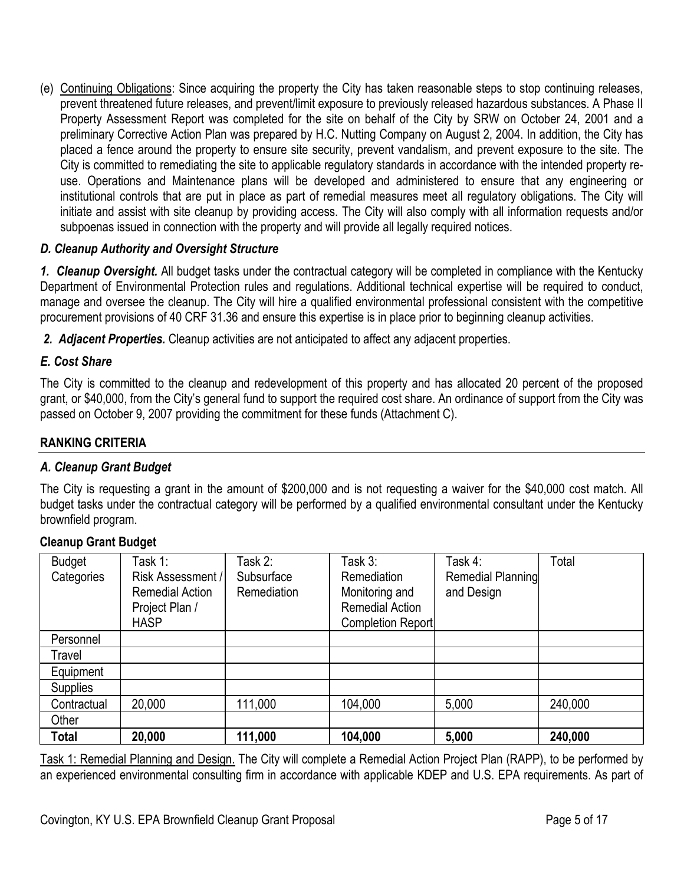(e) Continuing Obligations: Since acquiring the property the City has taken reasonable steps to stop continuing releases, prevent threatened future releases, and prevent/limit exposure to previously released hazardous substances. A Phase II Property Assessment Report was completed for the site on behalf of the City by SRW on October 24, 2001 and a preliminary Corrective Action Plan was prepared by H.C. Nutting Company on August 2, 2004. In addition, the City has placed a fence around the property to ensure site security, prevent vandalism, and prevent exposure to the site. The City is committed to remediating the site to applicable regulatory standards in accordance with the intended property reuse. Operations and Maintenance plans will be developed and administered to ensure that any engineering or institutional controls that are put in place as part of remedial measures meet all regulatory obligations. The City will initiate and assist with site cleanup by providing access. The City will also comply with all information requests and/or subpoenas issued in connection with the property and will provide all legally required notices.

### *D. Cleanup Authority and Oversight Structure*

*1. Cleanup Oversight.* All budget tasks under the contractual category will be completed in compliance with the Kentucky Department of Environmental Protection rules and regulations. Additional technical expertise will be required to conduct, manage and oversee the cleanup. The City will hire a qualified environmental professional consistent with the competitive procurement provisions of 40 CRF 31.36 and ensure this expertise is in place prior to beginning cleanup activities.

*2. Adjacent Properties.* Cleanup activities are not anticipated to affect any adjacent properties.

### *E. Cost Share*

The City is committed to the cleanup and redevelopment of this property and has allocated 20 percent of the proposed grant, or \$40,000, from the City's general fund to support the required cost share. An ordinance of support from the City was passed on October 9, 2007 providing the commitment for these funds (Attachment C).

### **RANKING CRITERIA**

### *A. Cleanup Grant Budget*

The City is requesting a grant in the amount of \$200,000 and is not requesting a waiver for the \$40,000 cost match. All budget tasks under the contractual category will be performed by a qualified environmental consultant under the Kentucky brownfield program.

### **Cleanup Grant Budget**

| <b>Budget</b><br>Categories | Task 1:<br>Risk Assessment /<br><b>Remedial Action</b><br>Project Plan /<br><b>HASP</b> | Task 2:<br>Subsurface<br><b>Remediation</b> | Task 3:<br>Remediation<br>Monitoring and<br><b>Remedial Action</b><br><b>Completion Report</b> | Task 4:<br>Remedial Planning<br>and Design | Total   |
|-----------------------------|-----------------------------------------------------------------------------------------|---------------------------------------------|------------------------------------------------------------------------------------------------|--------------------------------------------|---------|
| Personnel                   |                                                                                         |                                             |                                                                                                |                                            |         |
| Travel                      |                                                                                         |                                             |                                                                                                |                                            |         |
| Equipment                   |                                                                                         |                                             |                                                                                                |                                            |         |
| <b>Supplies</b>             |                                                                                         |                                             |                                                                                                |                                            |         |
| Contractual                 | 20,000                                                                                  | 111,000                                     | 104,000                                                                                        | 5,000                                      | 240,000 |
| Other                       |                                                                                         |                                             |                                                                                                |                                            |         |
| Total                       | 20,000                                                                                  | 111,000                                     | 104,000                                                                                        | 5,000                                      | 240,000 |

Task 1: Remedial Planning and Design. The City will complete a Remedial Action Project Plan (RAPP), to be performed by an experienced environmental consulting firm in accordance with applicable KDEP and U.S. EPA requirements. As part of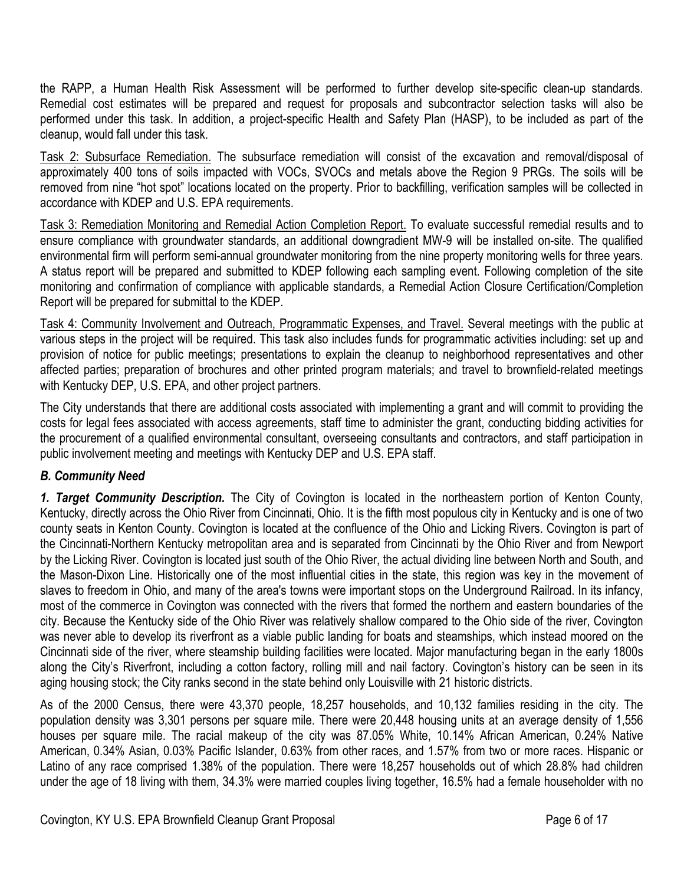the RAPP, a Human Health Risk Assessment will be performed to further develop site-specific clean-up standards. Remedial cost estimates will be prepared and request for proposals and subcontractor selection tasks will also be performed under this task. In addition, a project-specific Health and Safety Plan (HASP), to be included as part of the cleanup, would fall under this task.

Task 2: Subsurface Remediation. The subsurface remediation will consist of the excavation and removal/disposal of approximately 400 tons of soils impacted with VOCs, SVOCs and metals above the Region 9 PRGs. The soils will be removed from nine "hot spot" locations located on the property. Prior to backfilling, verification samples will be collected in accordance with KDEP and U.S. EPA requirements.

Task 3: Remediation Monitoring and Remedial Action Completion Report. To evaluate successful remedial results and to ensure compliance with groundwater standards, an additional downgradient MW-9 will be installed on-site. The qualified environmental firm will perform semi-annual groundwater monitoring from the nine property monitoring wells for three years. A status report will be prepared and submitted to KDEP following each sampling event. Following completion of the site monitoring and confirmation of compliance with applicable standards, a Remedial Action Closure Certification/Completion Report will be prepared for submittal to the KDEP.

Task 4: Community Involvement and Outreach, Programmatic Expenses, and Travel. Several meetings with the public at various steps in the project will be required. This task also includes funds for programmatic activities including: set up and provision of notice for public meetings; presentations to explain the cleanup to neighborhood representatives and other affected parties; preparation of brochures and other printed program materials; and travel to brownfield-related meetings with Kentucky DEP, U.S. EPA, and other project partners.

The City understands that there are additional costs associated with implementing a grant and will commit to providing the costs for legal fees associated with access agreements, staff time to administer the grant, conducting bidding activities for the procurement of a qualified environmental consultant, overseeing consultants and contractors, and staff participation in public involvement meeting and meetings with Kentucky DEP and U.S. EPA staff.

# *B. Community Need*

*1. Target Community Description.* The City of Covington is located in the northeastern portion of Kenton County, Kentucky, directly across the Ohio River from Cincinnati, Ohio. It is the fifth most populous city in Kentucky and is one of two county seats in Kenton County. Covington is located at the confluence of the Ohio and Licking Rivers. Covington is part of the Cincinnati-Northern Kentucky metropolitan area and is separated from Cincinnati by the Ohio River and from Newport by the Licking River. Covington is located just south of the Ohio River, the actual dividing line between North and South, and the Mason-Dixon Line. Historically one of the most influential cities in the state, this region was key in the movement of slaves to freedom in Ohio, and many of the area's towns were important stops on the Underground Railroad. In its infancy, most of the commerce in Covington was connected with the rivers that formed the northern and eastern boundaries of the city. Because the Kentucky side of the Ohio River was relatively shallow compared to the Ohio side of the river, Covington was never able to develop its riverfront as a viable public landing for boats and steamships, which instead moored on the Cincinnati side of the river, where steamship building facilities were located. Major manufacturing began in the early 1800s along the City's Riverfront, including a cotton factory, rolling mill and nail factory. Covington's history can be seen in its aging housing stock; the City ranks second in the state behind only Louisville with 21 historic districts.

As of the 2000 Census, there were 43,370 people, 18,257 households, and 10,132 families residing in the city. The population density was 3,301 persons per square mile. There were 20,448 housing units at an average density of 1,556 houses per square mile. The racial makeup of the city was 87.05% White, 10.14% African American, 0.24% Native American, 0.34% Asian, 0.03% Pacific Islander, 0.63% from other races, and 1.57% from two or more races. Hispanic or Latino of any race comprised 1.38% of the population. There were 18,257 households out of which 28.8% had children under the age of 18 living with them, 34.3% were married couples living together, 16.5% had a female householder with no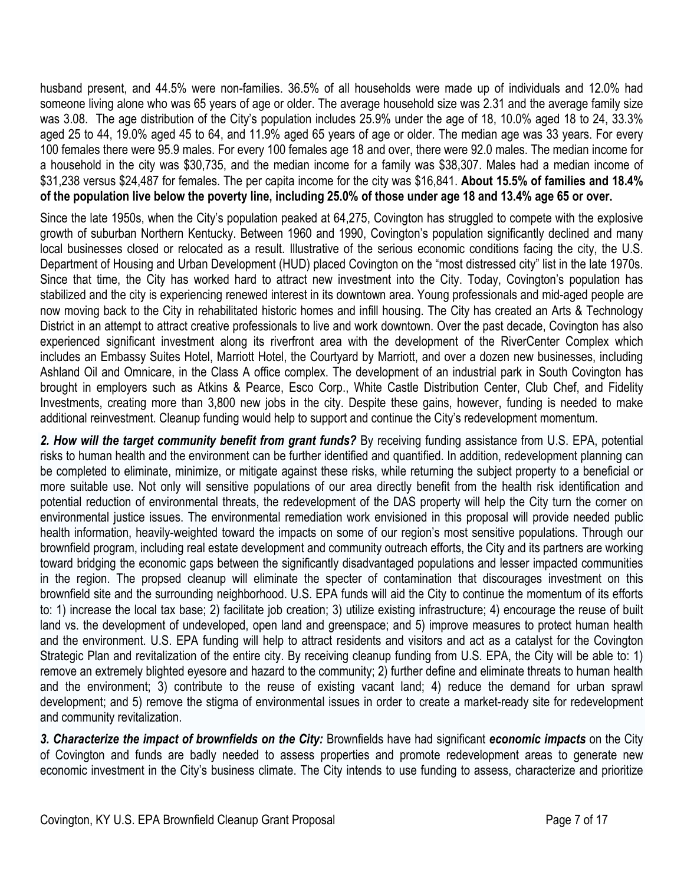husband present, and 44.5% were non-families. 36.5% of all households were made up of individuals and 12.0% had someone living alone who was 65 years of age or older. The average household size was 2.31 and the average family size was 3.08. The age distribution of the City's population includes 25.9% under the age of 18, 10.0% aged 18 to 24, 33.3% aged 25 to 44, 19.0% aged 45 to 64, and 11.9% aged 65 years of age or older. The median age was 33 years. For every 100 females there were 95.9 males. For every 100 females age 18 and over, there were 92.0 males. The median income for a household in the city was \$30,735, and the median income for a family was \$38,307. Males had a median income of \$31,238 versus \$24,487 for females. The per capita income for the city was \$16,841. **About 15.5% of families and 18.4% of the population live below the poverty line, including 25.0% of those under age 18 and 13.4% age 65 or over.** 

Since the late 1950s, when the City's population peaked at 64,275, Covington has struggled to compete with the explosive growth of suburban Northern Kentucky. Between 1960 and 1990, Covington's population significantly declined and many local businesses closed or relocated as a result. Illustrative of the serious economic conditions facing the city, the U.S. Department of Housing and Urban Development (HUD) placed Covington on the "most distressed city" list in the late 1970s. Since that time, the City has worked hard to attract new investment into the City. Today, Covington's population has stabilized and the city is experiencing renewed interest in its downtown area. Young professionals and mid-aged people are now moving back to the City in rehabilitated historic homes and infill housing. The City has created an Arts & Technology District in an attempt to attract creative professionals to live and work downtown. Over the past decade, Covington has also experienced significant investment along its riverfront area with the development of the RiverCenter Complex which includes an Embassy Suites Hotel, Marriott Hotel, the Courtyard by Marriott, and over a dozen new businesses, including Ashland Oil and Omnicare, in the Class A office complex. The development of an industrial park in South Covington has brought in employers such as Atkins & Pearce, Esco Corp., White Castle Distribution Center, Club Chef, and Fidelity Investments, creating more than 3,800 new jobs in the city. Despite these gains, however, funding is needed to make additional reinvestment. Cleanup funding would help to support and continue the City's redevelopment momentum.

*2. How will the target community benefit from grant funds?* By receiving funding assistance from U.S. EPA, potential risks to human health and the environment can be further identified and quantified. In addition, redevelopment planning can be completed to eliminate, minimize, or mitigate against these risks, while returning the subject property to a beneficial or more suitable use. Not only will sensitive populations of our area directly benefit from the health risk identification and potential reduction of environmental threats, the redevelopment of the DAS property will help the City turn the corner on environmental justice issues. The environmental remediation work envisioned in this proposal will provide needed public health information, heavily-weighted toward the impacts on some of our region's most sensitive populations. Through our brownfield program, including real estate development and community outreach efforts, the City and its partners are working toward bridging the economic gaps between the significantly disadvantaged populations and lesser impacted communities in the region. The propsed cleanup will eliminate the specter of contamination that discourages investment on this brownfield site and the surrounding neighborhood. U.S. EPA funds will aid the City to continue the momentum of its efforts to: 1) increase the local tax base; 2) facilitate job creation; 3) utilize existing infrastructure; 4) encourage the reuse of built land vs. the development of undeveloped, open land and greenspace; and 5) improve measures to protect human health and the environment. U.S. EPA funding will help to attract residents and visitors and act as a catalyst for the Covington Strategic Plan and revitalization of the entire city. By receiving cleanup funding from U.S. EPA, the City will be able to: 1) remove an extremely blighted eyesore and hazard to the community; 2) further define and eliminate threats to human health and the environment; 3) contribute to the reuse of existing vacant land; 4) reduce the demand for urban sprawl development; and 5) remove the stigma of environmental issues in order to create a market-ready site for redevelopment and community revitalization.

*3. Characterize the impact of brownfields on the City:* Brownfields have had significant *economic impacts* on the City of Covington and funds are badly needed to assess properties and promote redevelopment areas to generate new economic investment in the City's business climate. The City intends to use funding to assess, characterize and prioritize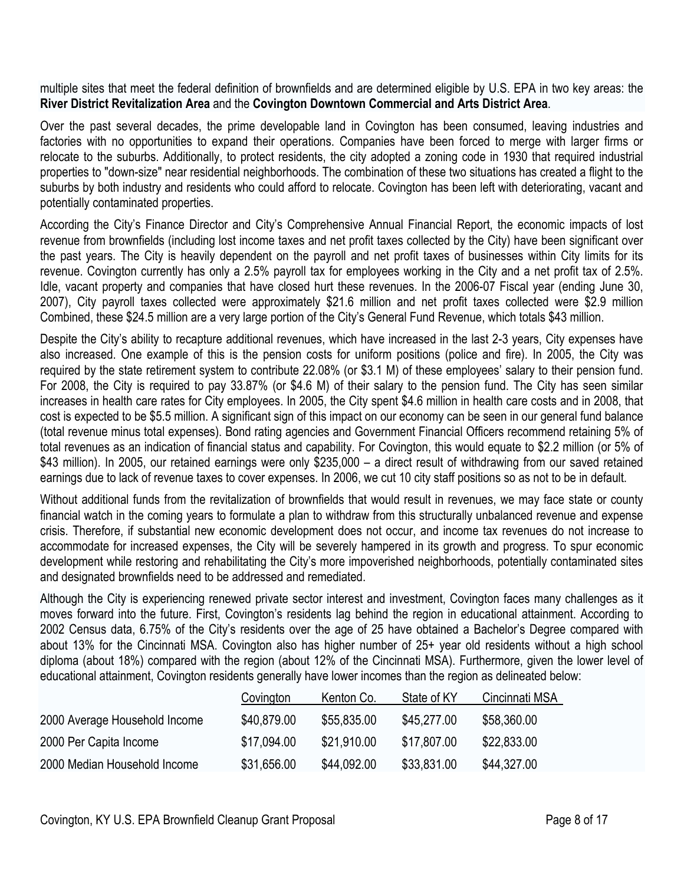multiple sites that meet the federal definition of brownfields and are determined eligible by U.S. EPA in two key areas: the **River District Revitalization Area** and the **Covington Downtown Commercial and Arts District Area**.

Over the past several decades, the prime developable land in Covington has been consumed, leaving industries and factories with no opportunities to expand their operations. Companies have been forced to merge with larger firms or relocate to the suburbs. Additionally, to protect residents, the city adopted a zoning code in 1930 that required industrial properties to "down-size" near residential neighborhoods. The combination of these two situations has created a flight to the suburbs by both industry and residents who could afford to relocate. Covington has been left with deteriorating, vacant and potentially contaminated properties.

According the City's Finance Director and City's Comprehensive Annual Financial Report, the economic impacts of lost revenue from brownfields (including lost income taxes and net profit taxes collected by the City) have been significant over the past years. The City is heavily dependent on the payroll and net profit taxes of businesses within City limits for its revenue. Covington currently has only a 2.5% payroll tax for employees working in the City and a net profit tax of 2.5%. Idle, vacant property and companies that have closed hurt these revenues. In the 2006-07 Fiscal year (ending June 30, 2007), City payroll taxes collected were approximately \$21.6 million and net profit taxes collected were \$2.9 million Combined, these \$24.5 million are a very large portion of the City's General Fund Revenue, which totals \$43 million.

Despite the City's ability to recapture additional revenues, which have increased in the last 2-3 years, City expenses have also increased. One example of this is the pension costs for uniform positions (police and fire). In 2005, the City was required by the state retirement system to contribute 22.08% (or \$3.1 M) of these employees' salary to their pension fund. For 2008, the City is required to pay 33.87% (or \$4.6 M) of their salary to the pension fund. The City has seen similar increases in health care rates for City employees. In 2005, the City spent \$4.6 million in health care costs and in 2008, that cost is expected to be \$5.5 million. A significant sign of this impact on our economy can be seen in our general fund balance (total revenue minus total expenses). Bond rating agencies and Government Financial Officers recommend retaining 5% of total revenues as an indication of financial status and capability. For Covington, this would equate to \$2.2 million (or 5% of \$43 million). In 2005, our retained earnings were only \$235,000 – a direct result of withdrawing from our saved retained earnings due to lack of revenue taxes to cover expenses. In 2006, we cut 10 city staff positions so as not to be in default.

Without additional funds from the revitalization of brownfields that would result in revenues, we may face state or county financial watch in the coming years to formulate a plan to withdraw from this structurally unbalanced revenue and expense crisis. Therefore, if substantial new economic development does not occur, and income tax revenues do not increase to accommodate for increased expenses, the City will be severely hampered in its growth and progress. To spur economic development while restoring and rehabilitating the City's more impoverished neighborhoods, potentially contaminated sites and designated brownfields need to be addressed and remediated.

Although the City is experiencing renewed private sector interest and investment, Covington faces many challenges as it moves forward into the future. First, Covington's residents lag behind the region in educational attainment. According to 2002 Census data, 6.75% of the City's residents over the age of 25 have obtained a Bachelor's Degree compared with about 13% for the Cincinnati MSA. Covington also has higher number of 25+ year old residents without a high school diploma (about 18%) compared with the region (about 12% of the Cincinnati MSA). Furthermore, given the lower level of educational attainment, Covington residents generally have lower incomes than the region as delineated below:

|                               | Covington   | Kenton Co.  | State of KY | Cincinnati MSA |
|-------------------------------|-------------|-------------|-------------|----------------|
| 2000 Average Household Income | \$40,879.00 | \$55,835.00 | \$45,277.00 | \$58,360.00    |
| 2000 Per Capita Income        | \$17,094.00 | \$21.910.00 | \$17,807.00 | \$22,833.00    |
| 2000 Median Household Income  | \$31,656.00 | \$44,092.00 | \$33,831.00 | \$44,327.00    |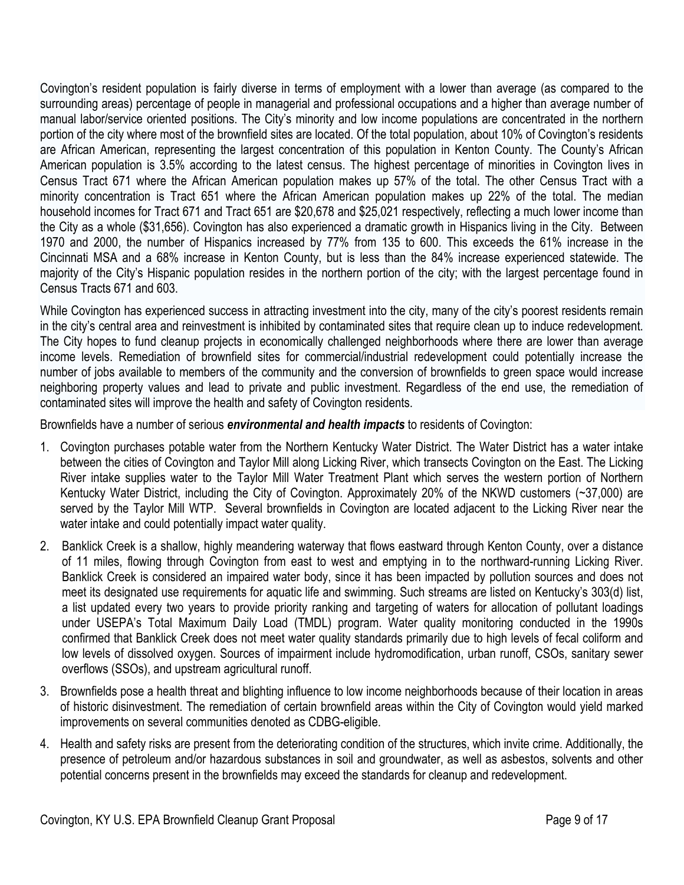Covington's resident population is fairly diverse in terms of employment with a lower than average (as compared to the surrounding areas) percentage of people in managerial and professional occupations and a higher than average number of manual labor/service oriented positions. The City's minority and low income populations are concentrated in the northern portion of the city where most of the brownfield sites are located. Of the total population, about 10% of Covington's residents are African American, representing the largest concentration of this population in Kenton County. The County's African American population is 3.5% according to the latest census. The highest percentage of minorities in Covington lives in Census Tract 671 where the African American population makes up 57% of the total. The other Census Tract with a minority concentration is Tract 651 where the African American population makes up 22% of the total. The median household incomes for Tract 671 and Tract 651 are \$20,678 and \$25,021 respectively, reflecting a much lower income than the City as a whole (\$31,656). Covington has also experienced a dramatic growth in Hispanics living in the City. Between 1970 and 2000, the number of Hispanics increased by 77% from 135 to 600. This exceeds the 61% increase in the Cincinnati MSA and a 68% increase in Kenton County, but is less than the 84% increase experienced statewide. The majority of the City's Hispanic population resides in the northern portion of the city; with the largest percentage found in Census Tracts 671 and 603.

While Covington has experienced success in attracting investment into the city, many of the city's poorest residents remain in the city's central area and reinvestment is inhibited by contaminated sites that require clean up to induce redevelopment. The City hopes to fund cleanup projects in economically challenged neighborhoods where there are lower than average income levels. Remediation of brownfield sites for commercial/industrial redevelopment could potentially increase the number of jobs available to members of the community and the conversion of brownfields to green space would increase neighboring property values and lead to private and public investment. Regardless of the end use, the remediation of contaminated sites will improve the health and safety of Covington residents.

Brownfields have a number of serious *environmental and health impacts* to residents of Covington:

- 1. Covington purchases potable water from the Northern Kentucky Water District. The Water District has a water intake between the cities of Covington and Taylor Mill along Licking River, which transects Covington on the East. The Licking River intake supplies water to the Taylor Mill Water Treatment Plant which serves the western portion of Northern Kentucky Water District, including the City of Covington. Approximately 20% of the NKWD customers (~37,000) are served by the Taylor Mill WTP. Several brownfields in Covington are located adjacent to the Licking River near the water intake and could potentially impact water quality.
- 2. Banklick Creek is a shallow, highly meandering waterway that flows eastward through Kenton County, over a distance of 11 miles, flowing through Covington from east to west and emptying in to the northward-running Licking River. Banklick Creek is considered an impaired water body, since it has been impacted by pollution sources and does not meet its designated use requirements for aquatic life and swimming. Such streams are listed on Kentucky's 303(d) list, a list updated every two years to provide priority ranking and targeting of waters for allocation of pollutant loadings under USEPA's Total Maximum Daily Load (TMDL) program. Water quality monitoring conducted in the 1990s confirmed that Banklick Creek does not meet water quality standards primarily due to high levels of fecal coliform and low levels of dissolved oxygen. Sources of impairment include hydromodification, urban runoff, CSOs, sanitary sewer overflows (SSOs), and upstream agricultural runoff.
- 3. Brownfields pose a health threat and blighting influence to low income neighborhoods because of their location in areas of historic disinvestment. The remediation of certain brownfield areas within the City of Covington would yield marked improvements on several communities denoted as CDBG-eligible.
- 4. Health and safety risks are present from the deteriorating condition of the structures, which invite crime. Additionally, the presence of petroleum and/or hazardous substances in soil and groundwater, as well as asbestos, solvents and other potential concerns present in the brownfields may exceed the standards for cleanup and redevelopment.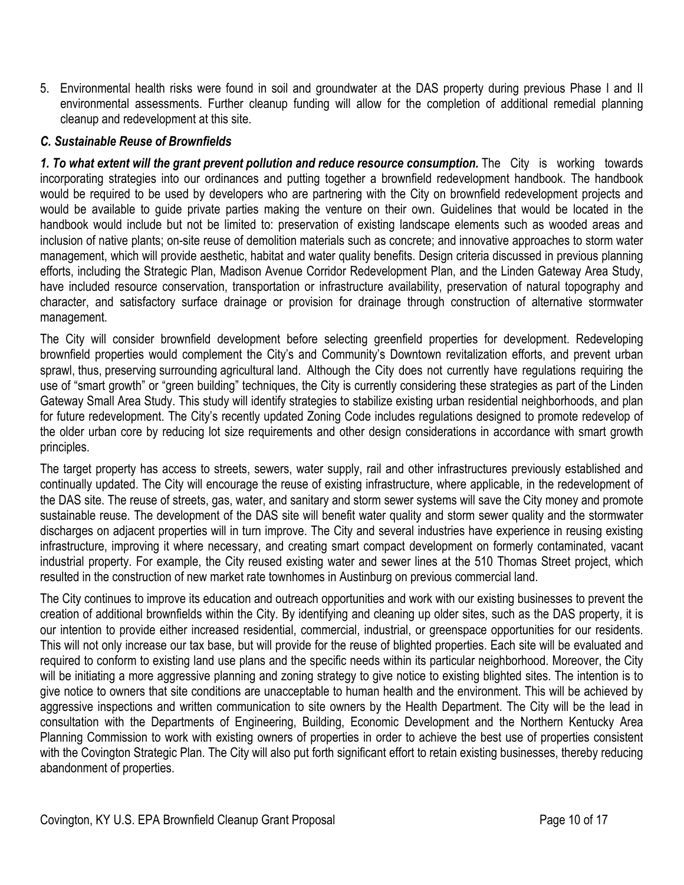5. Environmental health risks were found in soil and groundwater at the DAS property during previous Phase I and II environmental assessments. Further cleanup funding will allow for the completion of additional remedial planning cleanup and redevelopment at this site.

#### *C. Sustainable Reuse of Brownfields*

*1. To what extent will the grant prevent pollution and reduce resource consumption.* The City is working towards incorporating strategies into our ordinances and putting together a brownfield redevelopment handbook. The handbook would be required to be used by developers who are partnering with the City on brownfield redevelopment projects and would be available to guide private parties making the venture on their own. Guidelines that would be located in the handbook would include but not be limited to: preservation of existing landscape elements such as wooded areas and inclusion of native plants; on-site reuse of demolition materials such as concrete; and innovative approaches to storm water management, which will provide aesthetic, habitat and water quality benefits. Design criteria discussed in previous planning efforts, including the Strategic Plan, Madison Avenue Corridor Redevelopment Plan, and the Linden Gateway Area Study, have included resource conservation, transportation or infrastructure availability, preservation of natural topography and character, and satisfactory surface drainage or provision for drainage through construction of alternative stormwater management.

The City will consider brownfield development before selecting greenfield properties for development. Redeveloping brownfield properties would complement the City's and Community's Downtown revitalization efforts, and prevent urban sprawl, thus, preserving surrounding agricultural land. Although the City does not currently have regulations requiring the use of "smart growth" or "green building" techniques, the City is currently considering these strategies as part of the Linden Gateway Small Area Study. This study will identify strategies to stabilize existing urban residential neighborhoods, and plan for future redevelopment. The City's recently updated Zoning Code includes regulations designed to promote redevelop of the older urban core by reducing lot size requirements and other design considerations in accordance with smart growth principles.

The target property has access to streets, sewers, water supply, rail and other infrastructures previously established and continually updated. The City will encourage the reuse of existing infrastructure, where applicable, in the redevelopment of the DAS site. The reuse of streets, gas, water, and sanitary and storm sewer systems will save the City money and promote sustainable reuse. The development of the DAS site will benefit water quality and storm sewer quality and the stormwater discharges on adjacent properties will in turn improve. The City and several industries have experience in reusing existing infrastructure, improving it where necessary, and creating smart compact development on formerly contaminated, vacant industrial property. For example, the City reused existing water and sewer lines at the 510 Thomas Street project, which resulted in the construction of new market rate townhomes in Austinburg on previous commercial land.

The City continues to improve its education and outreach opportunities and work with our existing businesses to prevent the creation of additional brownfields within the City. By identifying and cleaning up older sites, such as the DAS property, it is our intention to provide either increased residential, commercial, industrial, or greenspace opportunities for our residents. This will not only increase our tax base, but will provide for the reuse of blighted properties. Each site will be evaluated and required to conform to existing land use plans and the specific needs within its particular neighborhood. Moreover, the City will be initiating a more aggressive planning and zoning strategy to give notice to existing blighted sites. The intention is to give notice to owners that site conditions are unacceptable to human health and the environment. This will be achieved by aggressive inspections and written communication to site owners by the Health Department. The City will be the lead in consultation with the Departments of Engineering, Building, Economic Development and the Northern Kentucky Area Planning Commission to work with existing owners of properties in order to achieve the best use of properties consistent with the Covington Strategic Plan. The City will also put forth significant effort to retain existing businesses, thereby reducing abandonment of properties.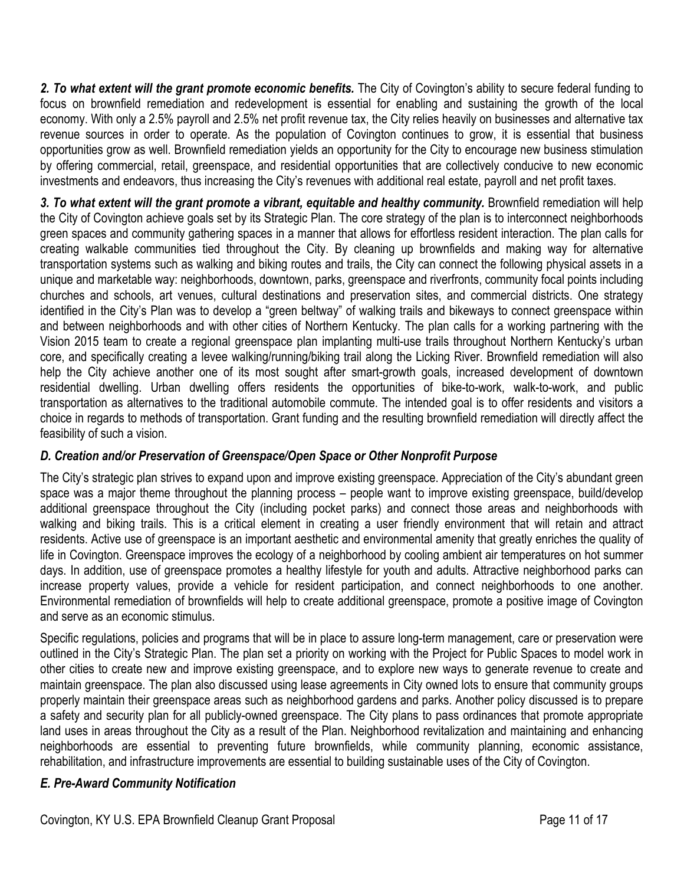2. To what extent will the grant promote economic benefits. The City of Covington's ability to secure federal funding to focus on brownfield remediation and redevelopment is essential for enabling and sustaining the growth of the local economy. With only a 2.5% payroll and 2.5% net profit revenue tax, the City relies heavily on businesses and alternative tax revenue sources in order to operate. As the population of Covington continues to grow, it is essential that business opportunities grow as well. Brownfield remediation yields an opportunity for the City to encourage new business stimulation by offering commercial, retail, greenspace, and residential opportunities that are collectively conducive to new economic investments and endeavors, thus increasing the City's revenues with additional real estate, payroll and net profit taxes.

3. To what extent will the grant promote a vibrant, equitable and healthy community. Brownfield remediation will help the City of Covington achieve goals set by its Strategic Plan. The core strategy of the plan is to interconnect neighborhoods green spaces and community gathering spaces in a manner that allows for effortless resident interaction. The plan calls for creating walkable communities tied throughout the City. By cleaning up brownfields and making way for alternative transportation systems such as walking and biking routes and trails, the City can connect the following physical assets in a unique and marketable way: neighborhoods, downtown, parks, greenspace and riverfronts, community focal points including churches and schools, art venues, cultural destinations and preservation sites, and commercial districts. One strategy identified in the City's Plan was to develop a "green beltway" of walking trails and bikeways to connect greenspace within and between neighborhoods and with other cities of Northern Kentucky. The plan calls for a working partnering with the Vision 2015 team to create a regional greenspace plan implanting multi-use trails throughout Northern Kentucky's urban core, and specifically creating a levee walking/running/biking trail along the Licking River. Brownfield remediation will also help the City achieve another one of its most sought after smart-growth goals, increased development of downtown residential dwelling. Urban dwelling offers residents the opportunities of bike-to-work, walk-to-work, and public transportation as alternatives to the traditional automobile commute. The intended goal is to offer residents and visitors a choice in regards to methods of transportation. Grant funding and the resulting brownfield remediation will directly affect the feasibility of such a vision.

# *D. Creation and/or Preservation of Greenspace/Open Space or Other Nonprofit Purpose*

The City's strategic plan strives to expand upon and improve existing greenspace. Appreciation of the City's abundant green space was a major theme throughout the planning process – people want to improve existing greenspace, build/develop additional greenspace throughout the City (including pocket parks) and connect those areas and neighborhoods with walking and biking trails. This is a critical element in creating a user friendly environment that will retain and attract residents. Active use of greenspace is an important aesthetic and environmental amenity that greatly enriches the quality of life in Covington. Greenspace improves the ecology of a neighborhood by cooling ambient air temperatures on hot summer days. In addition, use of greenspace promotes a healthy lifestyle for youth and adults. Attractive neighborhood parks can increase property values, provide a vehicle for resident participation, and connect neighborhoods to one another. Environmental remediation of brownfields will help to create additional greenspace, promote a positive image of Covington and serve as an economic stimulus.

Specific regulations, policies and programs that will be in place to assure long-term management, care or preservation were outlined in the City's Strategic Plan. The plan set a priority on working with the Project for Public Spaces to model work in other cities to create new and improve existing greenspace, and to explore new ways to generate revenue to create and maintain greenspace. The plan also discussed using lease agreements in City owned lots to ensure that community groups properly maintain their greenspace areas such as neighborhood gardens and parks. Another policy discussed is to prepare a safety and security plan for all publicly-owned greenspace. The City plans to pass ordinances that promote appropriate land uses in areas throughout the City as a result of the Plan. Neighborhood revitalization and maintaining and enhancing neighborhoods are essential to preventing future brownfields, while community planning, economic assistance, rehabilitation, and infrastructure improvements are essential to building sustainable uses of the City of Covington.

### *E. Pre-Award Community Notification*

Covington, KY U.S. EPA Brownfield Cleanup Grant Proposal **Page 11 of 17** Page 11 of 17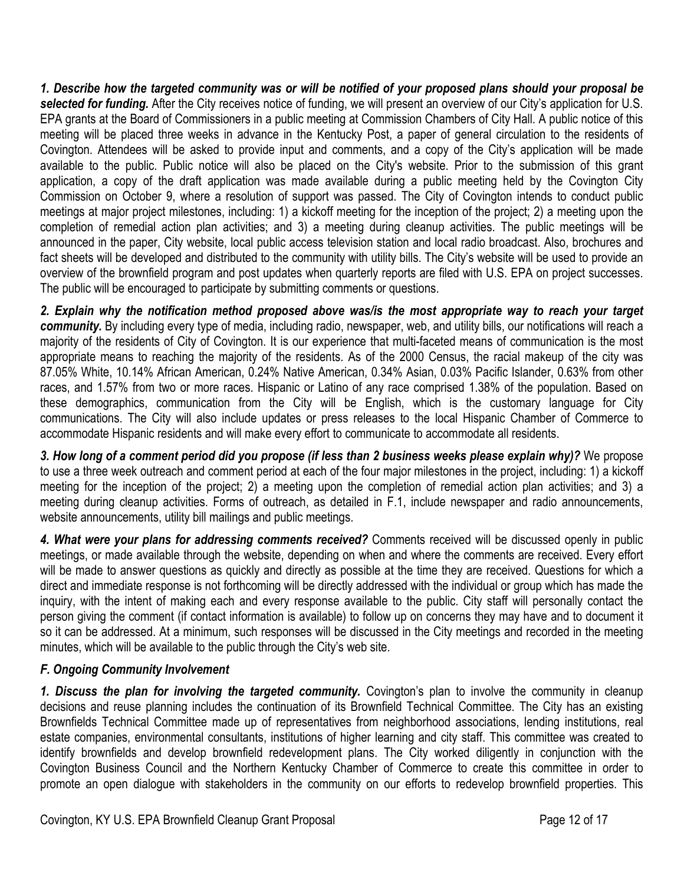*1. Describe how the targeted community was or will be notified of your proposed plans should your proposal be selected for funding.* After the City receives notice of funding, we will present an overview of our City's application for U.S. EPA grants at the Board of Commissioners in a public meeting at Commission Chambers of City Hall. A public notice of this meeting will be placed three weeks in advance in the Kentucky Post, a paper of general circulation to the residents of Covington. Attendees will be asked to provide input and comments, and a copy of the City's application will be made available to the public. Public notice will also be placed on the City's website. Prior to the submission of this grant application, a copy of the draft application was made available during a public meeting held by the Covington City Commission on October 9, where a resolution of support was passed. The City of Covington intends to conduct public meetings at major project milestones, including: 1) a kickoff meeting for the inception of the project; 2) a meeting upon the completion of remedial action plan activities; and 3) a meeting during cleanup activities. The public meetings will be announced in the paper, City website, local public access television station and local radio broadcast. Also, brochures and fact sheets will be developed and distributed to the community with utility bills. The City's website will be used to provide an overview of the brownfield program and post updates when quarterly reports are filed with U.S. EPA on project successes. The public will be encouraged to participate by submitting comments or questions.

*2. Explain why the notification method proposed above was/is the most appropriate way to reach your target community.* By including every type of media, including radio, newspaper, web, and utility bills, our notifications will reach a majority of the residents of City of Covington. It is our experience that multi-faceted means of communication is the most appropriate means to reaching the majority of the residents. As of the 2000 Census, the racial makeup of the city was 87.05% White, 10.14% African American, 0.24% Native American, 0.34% Asian, 0.03% Pacific Islander, 0.63% from other races, and 1.57% from two or more races. Hispanic or Latino of any race comprised 1.38% of the population. Based on these demographics, communication from the City will be English, which is the customary language for City communications. The City will also include updates or press releases to the local Hispanic Chamber of Commerce to accommodate Hispanic residents and will make every effort to communicate to accommodate all residents.

*3. How long of a comment period did you propose (if less than 2 business weeks please explain why)?* We propose to use a three week outreach and comment period at each of the four major milestones in the project, including: 1) a kickoff meeting for the inception of the project; 2) a meeting upon the completion of remedial action plan activities; and 3) a meeting during cleanup activities. Forms of outreach, as detailed in F.1, include newspaper and radio announcements, website announcements, utility bill mailings and public meetings.

*4. What were your plans for addressing comments received?* Comments received will be discussed openly in public meetings, or made available through the website, depending on when and where the comments are received. Every effort will be made to answer questions as quickly and directly as possible at the time they are received. Questions for which a direct and immediate response is not forthcoming will be directly addressed with the individual or group which has made the inquiry, with the intent of making each and every response available to the public. City staff will personally contact the person giving the comment (if contact information is available) to follow up on concerns they may have and to document it so it can be addressed. At a minimum, such responses will be discussed in the City meetings and recorded in the meeting minutes, which will be available to the public through the City's web site.

### *F. Ongoing Community Involvement*

*1. Discuss the plan for involving the targeted community.* Covington's plan to involve the community in cleanup decisions and reuse planning includes the continuation of its Brownfield Technical Committee. The City has an existing Brownfields Technical Committee made up of representatives from neighborhood associations, lending institutions, real estate companies, environmental consultants, institutions of higher learning and city staff. This committee was created to identify brownfields and develop brownfield redevelopment plans. The City worked diligently in conjunction with the Covington Business Council and the Northern Kentucky Chamber of Commerce to create this committee in order to promote an open dialogue with stakeholders in the community on our efforts to redevelop brownfield properties. This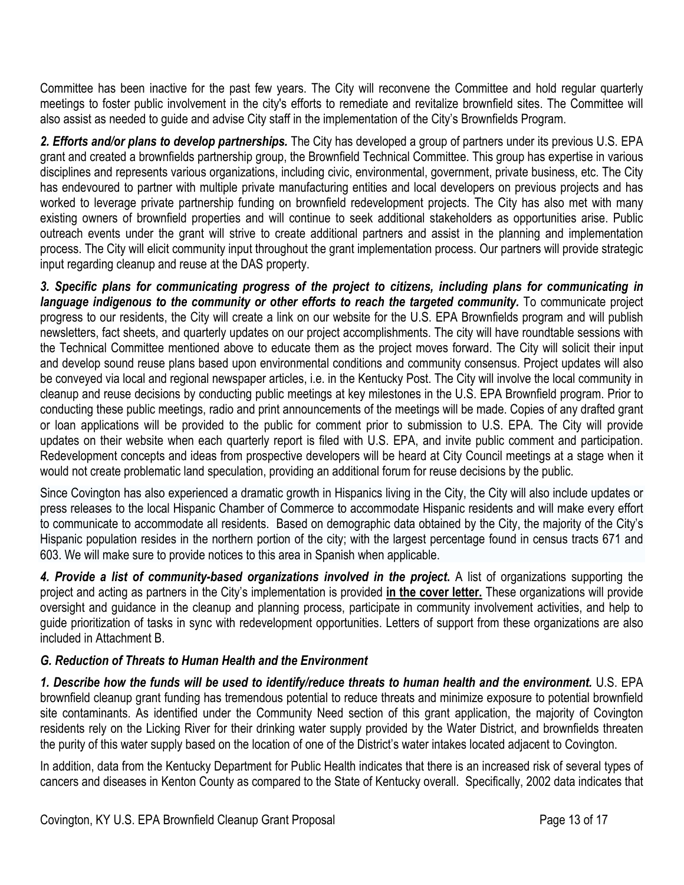Committee has been inactive for the past few years. The City will reconvene the Committee and hold regular quarterly meetings to foster public involvement in the city's efforts to remediate and revitalize brownfield sites. The Committee will also assist as needed to guide and advise City staff in the implementation of the City's Brownfields Program.

*2. Efforts and/or plans to develop partnerships.* The City has developed a group of partners under its previous U.S. EPA grant and created a brownfields partnership group, the Brownfield Technical Committee. This group has expertise in various disciplines and represents various organizations, including civic, environmental, government, private business, etc. The City has endevoured to partner with multiple private manufacturing entities and local developers on previous projects and has worked to leverage private partnership funding on brownfield redevelopment projects. The City has also met with many existing owners of brownfield properties and will continue to seek additional stakeholders as opportunities arise. Public outreach events under the grant will strive to create additional partners and assist in the planning and implementation process. The City will elicit community input throughout the grant implementation process. Our partners will provide strategic input regarding cleanup and reuse at the DAS property.

*3. Specific plans for communicating progress of the project to citizens, including plans for communicating in*  language indigenous to the community or other efforts to reach the targeted community. To communicate project progress to our residents, the City will create a link on our website for the U.S. EPA Brownfields program and will publish newsletters, fact sheets, and quarterly updates on our project accomplishments. The city will have roundtable sessions with the Technical Committee mentioned above to educate them as the project moves forward. The City will solicit their input and develop sound reuse plans based upon environmental conditions and community consensus. Project updates will also be conveyed via local and regional newspaper articles, i.e. in the Kentucky Post. The City will involve the local community in cleanup and reuse decisions by conducting public meetings at key milestones in the U.S. EPA Brownfield program. Prior to conducting these public meetings, radio and print announcements of the meetings will be made. Copies of any drafted grant or loan applications will be provided to the public for comment prior to submission to U.S. EPA. The City will provide updates on their website when each quarterly report is filed with U.S. EPA, and invite public comment and participation. Redevelopment concepts and ideas from prospective developers will be heard at City Council meetings at a stage when it would not create problematic land speculation, providing an additional forum for reuse decisions by the public.

Since Covington has also experienced a dramatic growth in Hispanics living in the City, the City will also include updates or press releases to the local Hispanic Chamber of Commerce to accommodate Hispanic residents and will make every effort to communicate to accommodate all residents. Based on demographic data obtained by the City, the majority of the City's Hispanic population resides in the northern portion of the city; with the largest percentage found in census tracts 671 and 603. We will make sure to provide notices to this area in Spanish when applicable.

*4. Provide a list of community-based organizations involved in the project***.** A list of organizations supporting the project and acting as partners in the City's implementation is provided **in the cover letter.** These organizations will provide oversight and guidance in the cleanup and planning process, participate in community involvement activities, and help to guide prioritization of tasks in sync with redevelopment opportunities. Letters of support from these organizations are also included in Attachment B.

# *G. Reduction of Threats to Human Health and the Environment*

*1. Describe how the funds will be used to identify/reduce threats to human health and the environment.* U.S. EPA brownfield cleanup grant funding has tremendous potential to reduce threats and minimize exposure to potential brownfield site contaminants. As identified under the Community Need section of this grant application, the majority of Covington residents rely on the Licking River for their drinking water supply provided by the Water District, and brownfields threaten the purity of this water supply based on the location of one of the District's water intakes located adjacent to Covington.

In addition, data from the Kentucky Department for Public Health indicates that there is an increased risk of several types of cancers and diseases in Kenton County as compared to the State of Kentucky overall. Specifically, 2002 data indicates that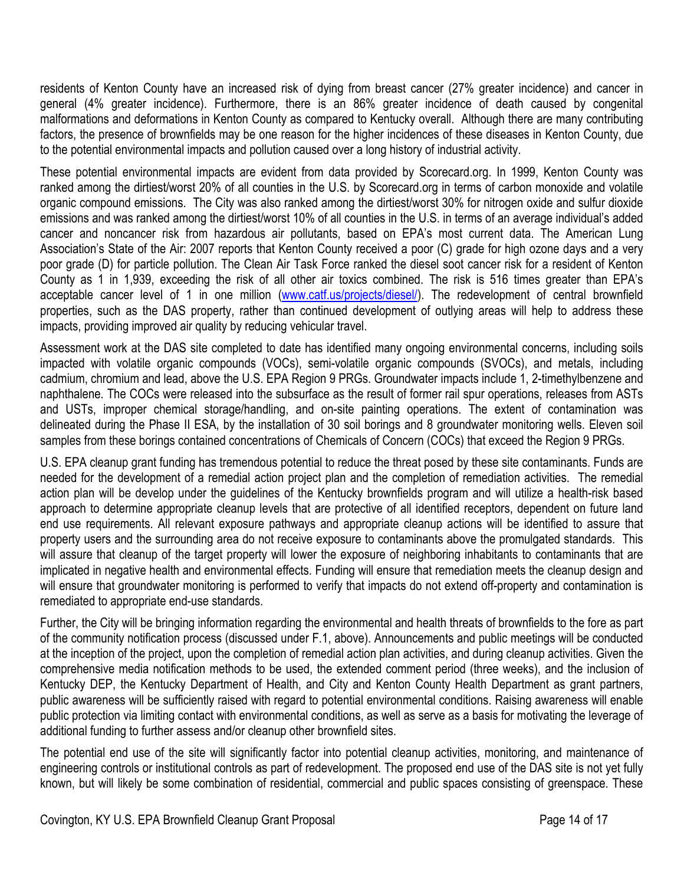residents of Kenton County have an increased risk of dying from breast cancer (27% greater incidence) and cancer in general (4% greater incidence). Furthermore, there is an 86% greater incidence of death caused by congenital malformations and deformations in Kenton County as compared to Kentucky overall. Although there are many contributing factors, the presence of brownfields may be one reason for the higher incidences of these diseases in Kenton County, due to the potential environmental impacts and pollution caused over a long history of industrial activity.

These potential environmental impacts are evident from data provided by Scorecard.org. In 1999, Kenton County was ranked among the dirtiest/worst 20% of all counties in the U.S. by Scorecard.org in terms of carbon monoxide and volatile organic compound emissions. The City was also ranked among the dirtiest/worst 30% for nitrogen oxide and sulfur dioxide emissions and was ranked among the dirtiest/worst 10% of all counties in the U.S. in terms of an average individual's added cancer and noncancer risk from hazardous air pollutants, based on EPA's most current data. The American Lung Association's State of the Air: 2007 reports that Kenton County received a poor (C) grade for high ozone days and a very poor grade (D) for particle pollution. The Clean Air Task Force ranked the diesel soot cancer risk for a resident of Kenton County as 1 in 1,939, exceeding the risk of all other air toxics combined. The risk is 516 times greater than EPA's acceptable cancer level of 1 in one million (www.catf.us/projects/diesel/). The redevelopment of central brownfield properties, such as the DAS property, rather than continued development of outlying areas will help to address these impacts, providing improved air quality by reducing vehicular travel.

Assessment work at the DAS site completed to date has identified many ongoing environmental concerns, including soils impacted with volatile organic compounds (VOCs), semi-volatile organic compounds (SVOCs), and metals, including cadmium, chromium and lead, above the U.S. EPA Region 9 PRGs. Groundwater impacts include 1, 2-timethylbenzene and naphthalene. The COCs were released into the subsurface as the result of former rail spur operations, releases from ASTs and USTs, improper chemical storage/handling, and on-site painting operations. The extent of contamination was delineated during the Phase II ESA, by the installation of 30 soil borings and 8 groundwater monitoring wells. Eleven soil samples from these borings contained concentrations of Chemicals of Concern (COCs) that exceed the Region 9 PRGs.

U.S. EPA cleanup grant funding has tremendous potential to reduce the threat posed by these site contaminants. Funds are needed for the development of a remedial action project plan and the completion of remediation activities. The remedial action plan will be develop under the guidelines of the Kentucky brownfields program and will utilize a health-risk based approach to determine appropriate cleanup levels that are protective of all identified receptors, dependent on future land end use requirements. All relevant exposure pathways and appropriate cleanup actions will be identified to assure that property users and the surrounding area do not receive exposure to contaminants above the promulgated standards. This will assure that cleanup of the target property will lower the exposure of neighboring inhabitants to contaminants that are implicated in negative health and environmental effects. Funding will ensure that remediation meets the cleanup design and will ensure that groundwater monitoring is performed to verify that impacts do not extend off-property and contamination is remediated to appropriate end-use standards.

Further, the City will be bringing information regarding the environmental and health threats of brownfields to the fore as part of the community notification process (discussed under F.1, above). Announcements and public meetings will be conducted at the inception of the project, upon the completion of remedial action plan activities, and during cleanup activities. Given the comprehensive media notification methods to be used, the extended comment period (three weeks), and the inclusion of Kentucky DEP, the Kentucky Department of Health, and City and Kenton County Health Department as grant partners, public awareness will be sufficiently raised with regard to potential environmental conditions. Raising awareness will enable public protection via limiting contact with environmental conditions, as well as serve as a basis for motivating the leverage of additional funding to further assess and/or cleanup other brownfield sites.

The potential end use of the site will significantly factor into potential cleanup activities, monitoring, and maintenance of engineering controls or institutional controls as part of redevelopment. The proposed end use of the DAS site is not yet fully known, but will likely be some combination of residential, commercial and public spaces consisting of greenspace. These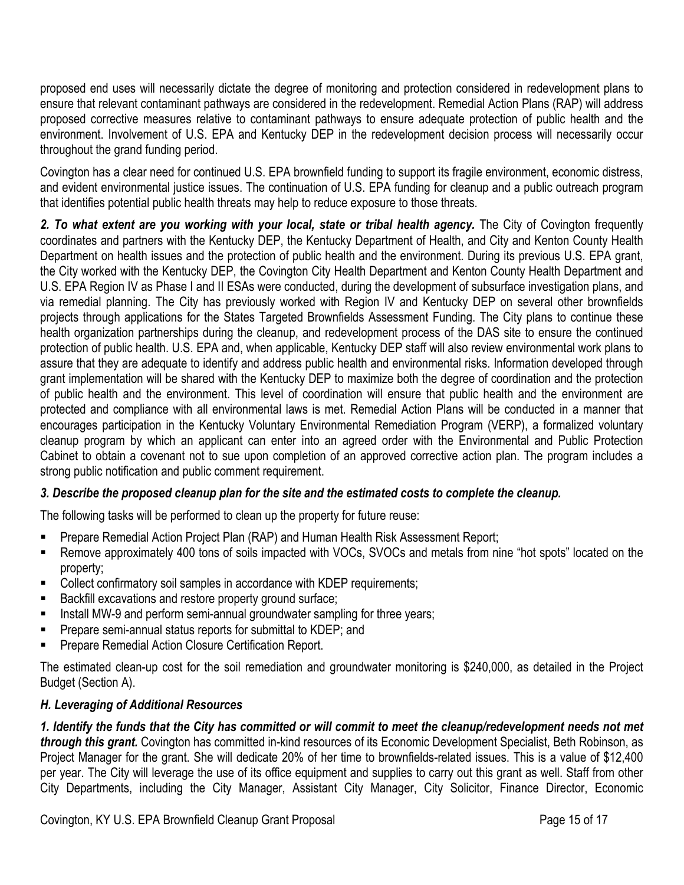proposed end uses will necessarily dictate the degree of monitoring and protection considered in redevelopment plans to ensure that relevant contaminant pathways are considered in the redevelopment. Remedial Action Plans (RAP) will address proposed corrective measures relative to contaminant pathways to ensure adequate protection of public health and the environment. Involvement of U.S. EPA and Kentucky DEP in the redevelopment decision process will necessarily occur throughout the grand funding period.

Covington has a clear need for continued U.S. EPA brownfield funding to support its fragile environment, economic distress, and evident environmental justice issues. The continuation of U.S. EPA funding for cleanup and a public outreach program that identifies potential public health threats may help to reduce exposure to those threats.

2. To what extent are you working with your local, state or tribal health agency. The City of Covington frequently coordinates and partners with the Kentucky DEP, the Kentucky Department of Health, and City and Kenton County Health Department on health issues and the protection of public health and the environment. During its previous U.S. EPA grant, the City worked with the Kentucky DEP, the Covington City Health Department and Kenton County Health Department and U.S. EPA Region IV as Phase I and II ESAs were conducted, during the development of subsurface investigation plans, and via remedial planning. The City has previously worked with Region IV and Kentucky DEP on several other brownfields projects through applications for the States Targeted Brownfields Assessment Funding. The City plans to continue these health organization partnerships during the cleanup, and redevelopment process of the DAS site to ensure the continued protection of public health. U.S. EPA and, when applicable, Kentucky DEP staff will also review environmental work plans to assure that they are adequate to identify and address public health and environmental risks. Information developed through grant implementation will be shared with the Kentucky DEP to maximize both the degree of coordination and the protection of public health and the environment. This level of coordination will ensure that public health and the environment are protected and compliance with all environmental laws is met. Remedial Action Plans will be conducted in a manner that encourages participation in the Kentucky Voluntary Environmental Remediation Program (VERP), a formalized voluntary cleanup program by which an applicant can enter into an agreed order with the Environmental and Public Protection Cabinet to obtain a covenant not to sue upon completion of an approved corrective action plan. The program includes a strong public notification and public comment requirement.

### *3. Describe the proposed cleanup plan for the site and the estimated costs to complete the cleanup.*

The following tasks will be performed to clean up the property for future reuse:

- **Prepare Remedial Action Project Plan (RAP) and Human Health Risk Assessment Report;**
- Remove approximately 400 tons of soils impacted with VOCs, SVOCs and metals from nine "hot spots" located on the property;
- **Collect confirmatory soil samples in accordance with KDEP requirements;**
- Backfill excavations and restore property ground surface;
- Install MW-9 and perform semi-annual groundwater sampling for three years;
- Prepare semi-annual status reports for submittal to KDEP; and
- Prepare Remedial Action Closure Certification Report.

The estimated clean-up cost for the soil remediation and groundwater monitoring is \$240,000, as detailed in the Project Budget (Section A).

### *H. Leveraging of Additional Resources*

*1. Identify the funds that the City has committed or will commit to meet the cleanup/redevelopment needs not met through this grant.* Covington has committed in-kind resources of its Economic Development Specialist, Beth Robinson, as Project Manager for the grant. She will dedicate 20% of her time to brownfields-related issues. This is a value of \$12,400 per year. The City will leverage the use of its office equipment and supplies to carry out this grant as well. Staff from other City Departments, including the City Manager, Assistant City Manager, City Solicitor, Finance Director, Economic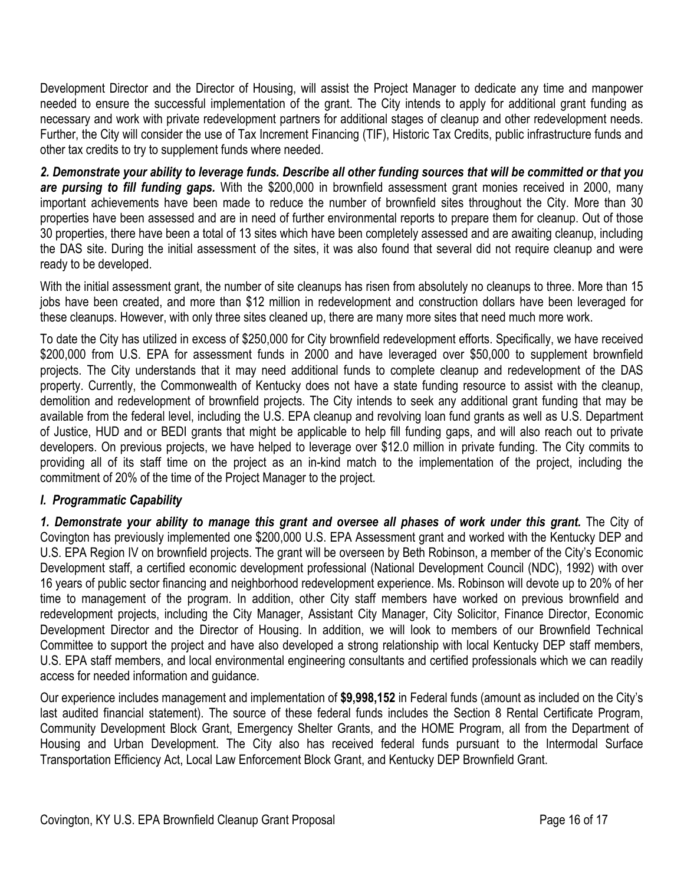Development Director and the Director of Housing, will assist the Project Manager to dedicate any time and manpower needed to ensure the successful implementation of the grant. The City intends to apply for additional grant funding as necessary and work with private redevelopment partners for additional stages of cleanup and other redevelopment needs. Further, the City will consider the use of Tax Increment Financing (TIF), Historic Tax Credits, public infrastructure funds and other tax credits to try to supplement funds where needed.

*2. Demonstrate your ability to leverage funds. Describe all other funding sources that will be committed or that you are pursing to fill funding gaps.* With the \$200,000 in brownfield assessment grant monies received in 2000, many important achievements have been made to reduce the number of brownfield sites throughout the City. More than 30 properties have been assessed and are in need of further environmental reports to prepare them for cleanup. Out of those 30 properties, there have been a total of 13 sites which have been completely assessed and are awaiting cleanup, including the DAS site. During the initial assessment of the sites, it was also found that several did not require cleanup and were ready to be developed.

With the initial assessment grant, the number of site cleanups has risen from absolutely no cleanups to three. More than 15 jobs have been created, and more than \$12 million in redevelopment and construction dollars have been leveraged for these cleanups. However, with only three sites cleaned up, there are many more sites that need much more work.

To date the City has utilized in excess of \$250,000 for City brownfield redevelopment efforts. Specifically, we have received \$200,000 from U.S. EPA for assessment funds in 2000 and have leveraged over \$50,000 to supplement brownfield projects. The City understands that it may need additional funds to complete cleanup and redevelopment of the DAS property. Currently, the Commonwealth of Kentucky does not have a state funding resource to assist with the cleanup, demolition and redevelopment of brownfield projects. The City intends to seek any additional grant funding that may be available from the federal level, including the U.S. EPA cleanup and revolving loan fund grants as well as U.S. Department of Justice, HUD and or BEDI grants that might be applicable to help fill funding gaps, and will also reach out to private developers. On previous projects, we have helped to leverage over \$12.0 million in private funding. The City commits to providing all of its staff time on the project as an in-kind match to the implementation of the project, including the commitment of 20% of the time of the Project Manager to the project.

# *I. Programmatic Capability*

*1. Demonstrate your ability to manage this grant and oversee all phases of work under this grant.* The City of Covington has previously implemented one \$200,000 U.S. EPA Assessment grant and worked with the Kentucky DEP and U.S. EPA Region IV on brownfield projects. The grant will be overseen by Beth Robinson, a member of the City's Economic Development staff, a certified economic development professional (National Development Council (NDC), 1992) with over 16 years of public sector financing and neighborhood redevelopment experience. Ms. Robinson will devote up to 20% of her time to management of the program. In addition, other City staff members have worked on previous brownfield and redevelopment projects, including the City Manager, Assistant City Manager, City Solicitor, Finance Director, Economic Development Director and the Director of Housing. In addition, we will look to members of our Brownfield Technical Committee to support the project and have also developed a strong relationship with local Kentucky DEP staff members, U.S. EPA staff members, and local environmental engineering consultants and certified professionals which we can readily access for needed information and guidance.

Our experience includes management and implementation of **\$9,998,152** in Federal funds (amount as included on the City's last audited financial statement). The source of these federal funds includes the Section 8 Rental Certificate Program, Community Development Block Grant, Emergency Shelter Grants, and the HOME Program, all from the Department of Housing and Urban Development. The City also has received federal funds pursuant to the Intermodal Surface Transportation Efficiency Act, Local Law Enforcement Block Grant, and Kentucky DEP Brownfield Grant.